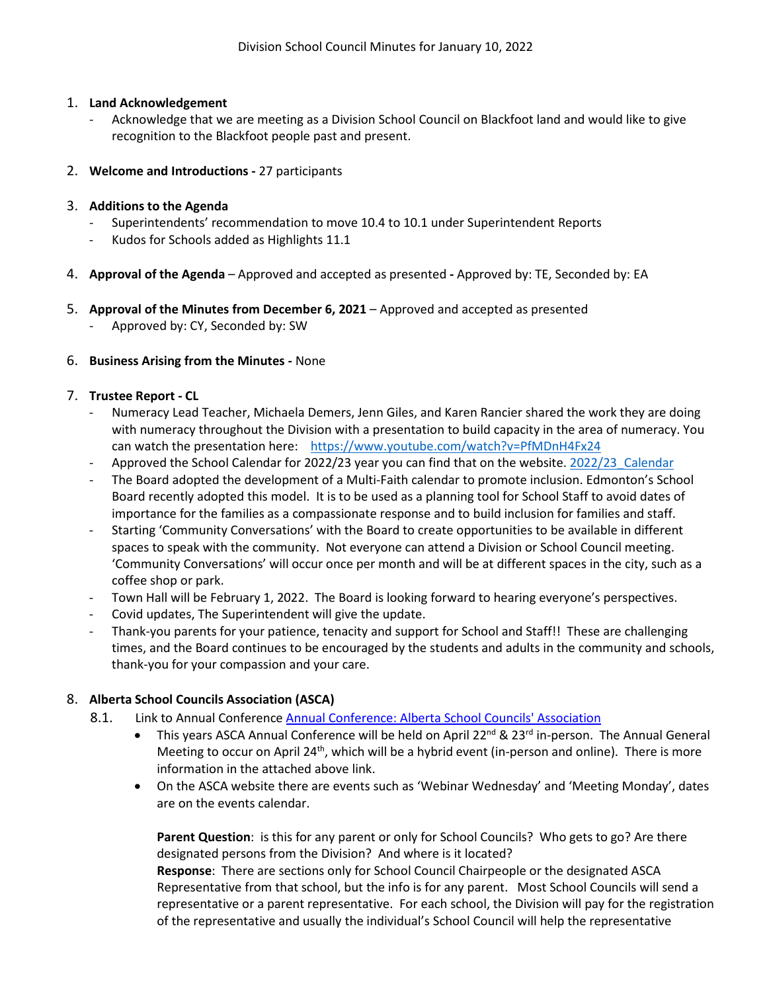## 1. **Land Acknowledgement**

- Acknowledge that we are meeting as a Division School Council on Blackfoot land and would like to give recognition to the Blackfoot people past and present.
- 2. **Welcome and Introductions -** 27 participants

# 3. **Additions to the Agenda**

- Superintendents' recommendation to move 10.4 to 10.1 under Superintendent Reports
- Kudos for Schools added as Highlights 11.1
- 4. **Approval of the Agenda** Approved and accepted as presented **-** Approved by: TE, Seconded by: EA
- 5. **Approval of the Minutes from December 6, 2021** Approved and accepted as presented
	- Approved by: CY, Seconded by: SW

## 6. **Business Arising from the Minutes -** None

## 7. **Trustee Report - CL**

- Numeracy Lead Teacher, Michaela Demers, Jenn Giles, and Karen Rancier shared the work they are doing with numeracy throughout the Division with a presentation to build capacity in the area of numeracy. You can watch the presentation here: <https://www.youtube.com/watch?v=PfMDnH4Fx24>
- Approved the School Calendar for 2022/23 year you can find that on the website. 2022/23 Calendar
- The Board adopted the development of a Multi-Faith calendar to promote inclusion. Edmonton's School Board recently adopted this model. It is to be used as a planning tool for School Staff to avoid dates of importance for the families as a compassionate response and to build inclusion for families and staff.
- Starting 'Community Conversations' with the Board to create opportunities to be available in different spaces to speak with the community. Not everyone can attend a Division or School Council meeting. 'Community Conversations' will occur once per month and will be at different spaces in the city, such as a coffee shop or park.
- Town Hall will be February 1, 2022. The Board is looking forward to hearing everyone's perspectives.
- Covid updates, The Superintendent will give the update.
- Thank-you parents for your patience, tenacity and support for School and Staff!! These are challenging times, and the Board continues to be encouraged by the students and adults in the community and schools, thank-you for your compassion and your care.

# 8. **Alberta School Councils Association (ASCA)**

- 8.1. Link to Annual Conference [Annual Conference: Alberta School Councils' Association](https://www.albertaschoolcouncils.ca/about/annual-conference)
	- This years ASCA Annual Conference will be held on April 22<sup>nd</sup> & 23<sup>rd</sup> in-person. The Annual General Meeting to occur on April 24<sup>th</sup>, which will be a hybrid event (in-person and online). There is more information in the attached above link.
	- On the ASCA website there are events such as 'Webinar Wednesday' and 'Meeting Monday', dates are on the events calendar.

**Parent Question**: is this for any parent or only for School Councils? Who gets to go? Are there designated persons from the Division? And where is it located? **Response**: There are sections only for School Council Chairpeople or the designated ASCA

Representative from that school, but the info is for any parent. Most School Councils will send a representative or a parent representative. For each school, the Division will pay for the registration of the representative and usually the individual's School Council will help the representative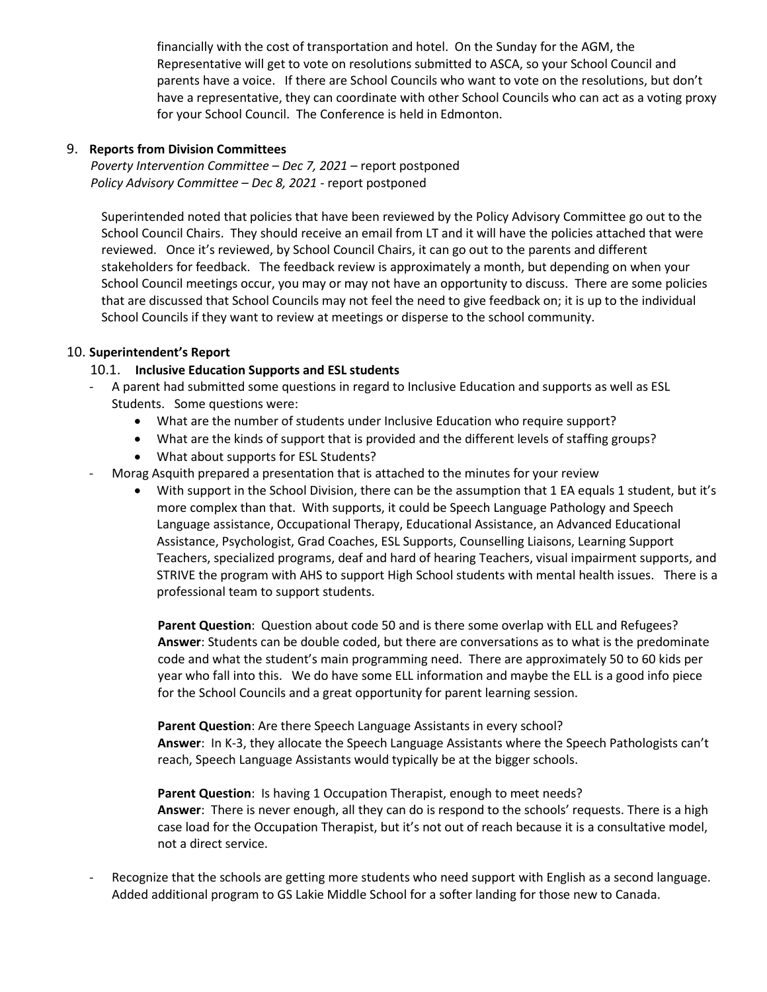financially with the cost of transportation and hotel. On the Sunday for the AGM, the Representative will get to vote on resolutions submitted to ASCA, so your School Council and parents have a voice. If there are School Councils who want to vote on the resolutions, but don't have a representative, they can coordinate with other School Councils who can act as a voting proxy for your School Council. The Conference is held in Edmonton.

#### 9. **Reports from Division Committees**

*Poverty Intervention Committee – Dec 7, 2021 –* report postponed *Policy Advisory Committee – Dec 8, 2021* - report postponed

Superintended noted that policies that have been reviewed by the Policy Advisory Committee go out to the School Council Chairs. They should receive an email from LT and it will have the policies attached that were reviewed. Once it's reviewed, by School Council Chairs, it can go out to the parents and different stakeholders for feedback. The feedback review is approximately a month, but depending on when your School Council meetings occur, you may or may not have an opportunity to discuss. There are some policies that are discussed that School Councils may not feel the need to give feedback on; it is up to the individual School Councils if they want to review at meetings or disperse to the school community.

## 10. **Superintendent's Report**

## 10.1. **Inclusive Education Supports and ESL students**

- A parent had submitted some questions in regard to Inclusive Education and supports as well as ESL Students. Some questions were:
	- What are the number of students under Inclusive Education who require support?
	- What are the kinds of support that is provided and the different levels of staffing groups?
	- What about supports for ESL Students?
- Morag Asquith prepared a presentation that is attached to the minutes for your review
	- With support in the School Division, there can be the assumption that 1 EA equals 1 student, but it's more complex than that. With supports, it could be Speech Language Pathology and Speech Language assistance, Occupational Therapy, Educational Assistance, an Advanced Educational Assistance, Psychologist, Grad Coaches, ESL Supports, Counselling Liaisons, Learning Support Teachers, specialized programs, deaf and hard of hearing Teachers, visual impairment supports, and STRIVE the program with AHS to support High School students with mental health issues. There is a professional team to support students.

**Parent Question**: Question about code 50 and is there some overlap with ELL and Refugees? **Answer**: Students can be double coded, but there are conversations as to what is the predominate code and what the student's main programming need. There are approximately 50 to 60 kids per year who fall into this. We do have some ELL information and maybe the ELL is a good info piece for the School Councils and a great opportunity for parent learning session.

**Parent Question**: Are there Speech Language Assistants in every school? **Answer**: In K-3, they allocate the Speech Language Assistants where the Speech Pathologists can't reach, Speech Language Assistants would typically be at the bigger schools.

Parent Question: Is having 1 Occupation Therapist, enough to meet needs? **Answer**: There is never enough, all they can do is respond to the schools' requests. There is a high case load for the Occupation Therapist, but it's not out of reach because it is a consultative model, not a direct service.

Recognize that the schools are getting more students who need support with English as a second language. Added additional program to GS Lakie Middle School for a softer landing for those new to Canada.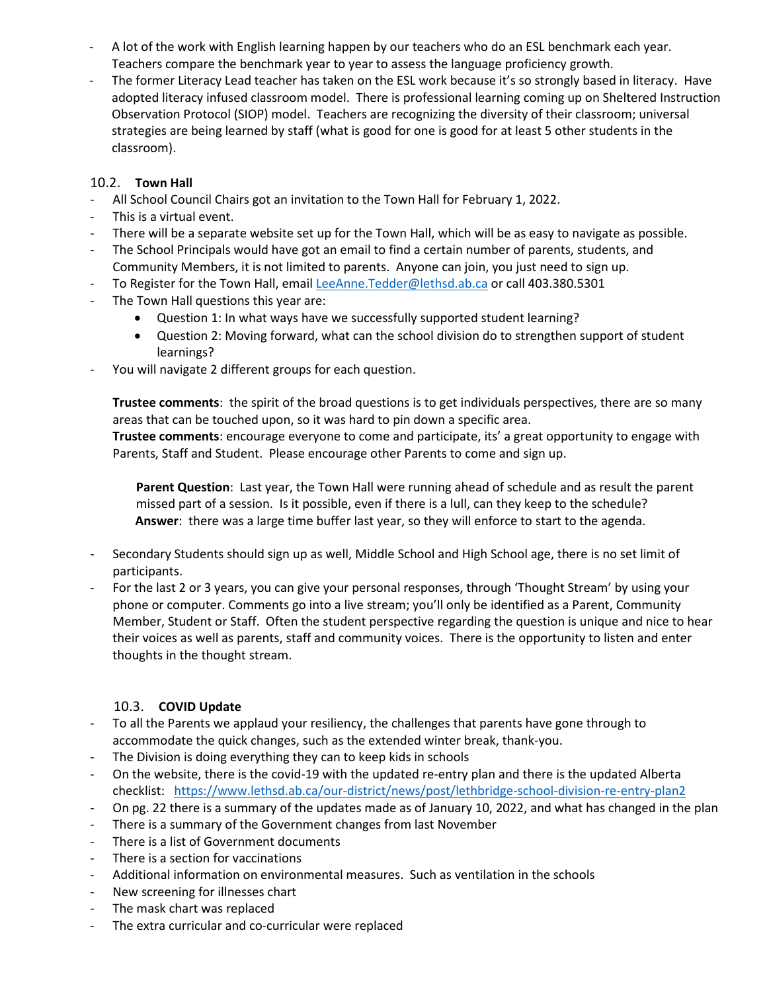- A lot of the work with English learning happen by our teachers who do an ESL benchmark each year. Teachers compare the benchmark year to year to assess the language proficiency growth.
- The former Literacy Lead teacher has taken on the ESL work because it's so strongly based in literacy. Have adopted literacy infused classroom model. There is professional learning coming up on Sheltered Instruction Observation Protocol (SIOP) model. Teachers are recognizing the diversity of their classroom; universal strategies are being learned by staff (what is good for one is good for at least 5 other students in the classroom).

# 10.2. **Town Hall**

- All School Council Chairs got an invitation to the Town Hall for February 1, 2022.
- This is a virtual event.
- There will be a separate website set up for the Town Hall, which will be as easy to navigate as possible.
- The School Principals would have got an email to find a certain number of parents, students, and Community Members, it is not limited to parents. Anyone can join, you just need to sign up.
- To Register for the Town Hall, email [LeeAnne.Tedder@lethsd.ab.ca](mailto:LeeAnne.Tedder@lethsd.ab.ca) or call 403.380.5301
- The Town Hall questions this year are:
	- Question 1: In what ways have we successfully supported student learning?
	- Question 2: Moving forward, what can the school division do to strengthen support of student learnings?
- You will navigate 2 different groups for each question.

**Trustee comments**: the spirit of the broad questions is to get individuals perspectives, there are so many areas that can be touched upon, so it was hard to pin down a specific area.

**Trustee comments**: encourage everyone to come and participate, its' a great opportunity to engage with Parents, Staff and Student. Please encourage other Parents to come and sign up.

**Parent Question**: Last year, the Town Hall were running ahead of schedule and as result the parent missed part of a session. Is it possible, even if there is a lull, can they keep to the schedule? **Answer**: there was a large time buffer last year, so they will enforce to start to the agenda.

- Secondary Students should sign up as well, Middle School and High School age, there is no set limit of participants.
- For the last 2 or 3 years, you can give your personal responses, through 'Thought Stream' by using your phone or computer. Comments go into a live stream; you'll only be identified as a Parent, Community Member, Student or Staff. Often the student perspective regarding the question is unique and nice to hear their voices as well as parents, staff and community voices. There is the opportunity to listen and enter thoughts in the thought stream.

# 10.3. **COVID Update**

- To all the Parents we applaud your resiliency, the challenges that parents have gone through to accommodate the quick changes, such as the extended winter break, thank-you.
- The Division is doing everything they can to keep kids in schools
- On the website, there is the covid-19 with the updated re-entry plan and there is the updated Alberta checklist: <https://www.lethsd.ab.ca/our-district/news/post/lethbridge-school-division-re-entry-plan2>
- On pg. 22 there is a summary of the updates made as of January 10, 2022, and what has changed in the plan
- There is a summary of the Government changes from last November
- There is a list of Government documents
- There is a section for vaccinations
- Additional information on environmental measures. Such as ventilation in the schools
- New screening for illnesses chart
- The mask chart was replaced
- The extra curricular and co-curricular were replaced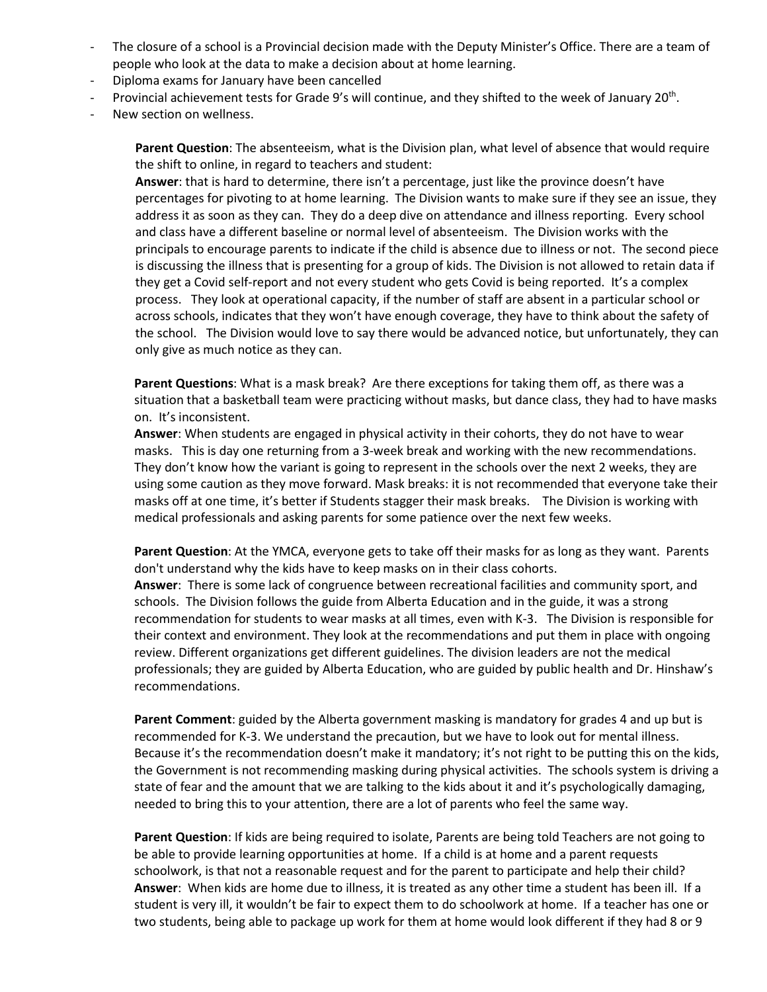- The closure of a school is a Provincial decision made with the Deputy Minister's Office. There are a team of people who look at the data to make a decision about at home learning.
- Diploma exams for January have been cancelled
- Provincial achievement tests for Grade 9's will continue, and they shifted to the week of January 20<sup>th</sup>.
- New section on wellness.

**Parent Question**: The absenteeism, what is the Division plan, what level of absence that would require the shift to online, in regard to teachers and student:

**Answer**: that is hard to determine, there isn't a percentage, just like the province doesn't have percentages for pivoting to at home learning. The Division wants to make sure if they see an issue, they address it as soon as they can. They do a deep dive on attendance and illness reporting. Every school and class have a different baseline or normal level of absenteeism. The Division works with the principals to encourage parents to indicate if the child is absence due to illness or not. The second piece is discussing the illness that is presenting for a group of kids. The Division is not allowed to retain data if they get a Covid self-report and not every student who gets Covid is being reported. It's a complex process. They look at operational capacity, if the number of staff are absent in a particular school or across schools, indicates that they won't have enough coverage, they have to think about the safety of the school. The Division would love to say there would be advanced notice, but unfortunately, they can only give as much notice as they can.

**Parent Questions**: What is a mask break? Are there exceptions for taking them off, as there was a situation that a basketball team were practicing without masks, but dance class, they had to have masks on. It's inconsistent.

**Answer**: When students are engaged in physical activity in their cohorts, they do not have to wear masks. This is day one returning from a 3-week break and working with the new recommendations. They don't know how the variant is going to represent in the schools over the next 2 weeks, they are using some caution as they move forward. Mask breaks: it is not recommended that everyone take their masks off at one time, it's better if Students stagger their mask breaks. The Division is working with medical professionals and asking parents for some patience over the next few weeks.

**Parent Question**: At the YMCA, everyone gets to take off their masks for as long as they want. Parents don't understand why the kids have to keep masks on in their class cohorts.

**Answer**: There is some lack of congruence between recreational facilities and community sport, and schools. The Division follows the guide from Alberta Education and in the guide, it was a strong recommendation for students to wear masks at all times, even with K-3. The Division is responsible for their context and environment. They look at the recommendations and put them in place with ongoing review. Different organizations get different guidelines. The division leaders are not the medical professionals; they are guided by Alberta Education, who are guided by public health and Dr. Hinshaw's recommendations.

**Parent Comment**: guided by the Alberta government masking is mandatory for grades 4 and up but is recommended for K-3. We understand the precaution, but we have to look out for mental illness. Because it's the recommendation doesn't make it mandatory; it's not right to be putting this on the kids, the Government is not recommending masking during physical activities. The schools system is driving a state of fear and the amount that we are talking to the kids about it and it's psychologically damaging, needed to bring this to your attention, there are a lot of parents who feel the same way.

**Parent Question**: If kids are being required to isolate, Parents are being told Teachers are not going to be able to provide learning opportunities at home. If a child is at home and a parent requests schoolwork, is that not a reasonable request and for the parent to participate and help their child? **Answer**: When kids are home due to illness, it is treated as any other time a student has been ill. If a student is very ill, it wouldn't be fair to expect them to do schoolwork at home. If a teacher has one or two students, being able to package up work for them at home would look different if they had 8 or 9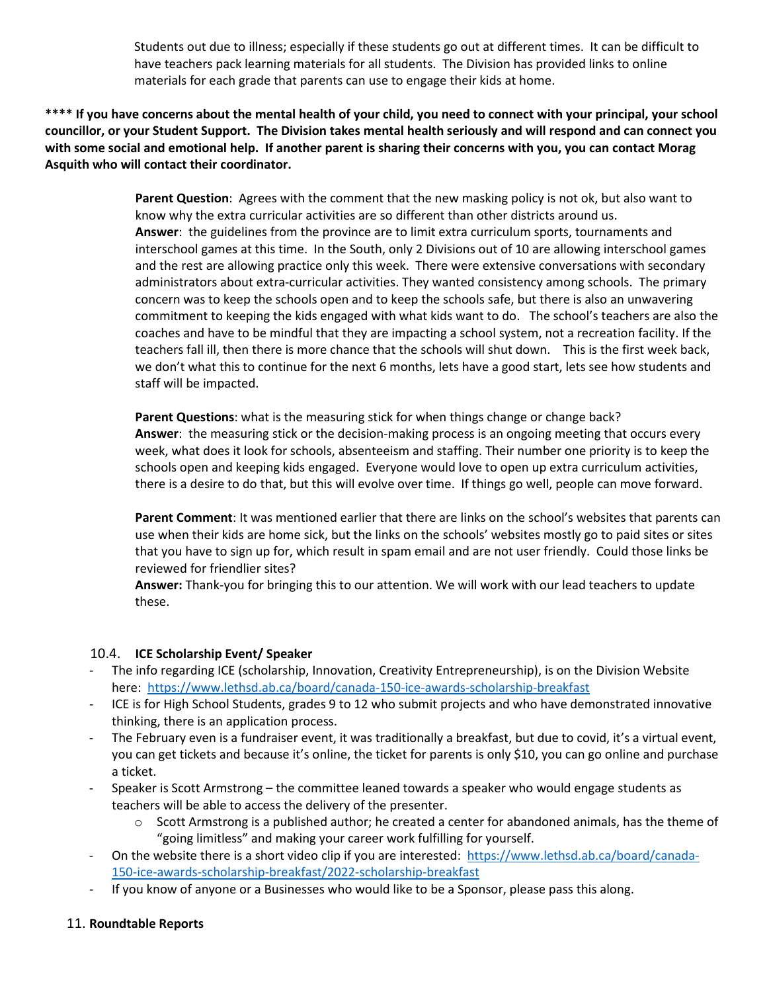Students out due to illness; especially if these students go out at different times. It can be difficult to have teachers pack learning materials for all students. The Division has provided links to online materials for each grade that parents can use to engage their kids at home.

**\*\*\*\* If you have concerns about the mental health of your child, you need to connect with your principal, your school councillor, or your Student Support. The Division takes mental health seriously and will respond and can connect you with some social and emotional help. If another parent is sharing their concerns with you, you can contact Morag Asquith who will contact their coordinator.** 

> **Parent Question**: Agrees with the comment that the new masking policy is not ok, but also want to know why the extra curricular activities are so different than other districts around us. **Answer**: the guidelines from the province are to limit extra curriculum sports, tournaments and interschool games at this time. In the South, only 2 Divisions out of 10 are allowing interschool games and the rest are allowing practice only this week. There were extensive conversations with secondary administrators about extra-curricular activities. They wanted consistency among schools. The primary concern was to keep the schools open and to keep the schools safe, but there is also an unwavering commitment to keeping the kids engaged with what kids want to do. The school's teachers are also the coaches and have to be mindful that they are impacting a school system, not a recreation facility. If the teachers fall ill, then there is more chance that the schools will shut down. This is the first week back, we don't what this to continue for the next 6 months, lets have a good start, lets see how students and staff will be impacted.

**Parent Questions**: what is the measuring stick for when things change or change back? **Answer**: the measuring stick or the decision-making process is an ongoing meeting that occurs every week, what does it look for schools, absenteeism and staffing. Their number one priority is to keep the schools open and keeping kids engaged. Everyone would love to open up extra curriculum activities, there is a desire to do that, but this will evolve over time. If things go well, people can move forward.

**Parent Comment**: It was mentioned earlier that there are links on the school's websites that parents can use when their kids are home sick, but the links on the schools' websites mostly go to paid sites or sites that you have to sign up for, which result in spam email and are not user friendly. Could those links be reviewed for friendlier sites?

**Answer:** Thank-you for bringing this to our attention. We will work with our lead teachers to update these.

#### 10.4. **ICE Scholarship Event/ Speaker**

- The info regarding ICE (scholarship, Innovation, Creativity Entrepreneurship), is on the Division Website here:<https://www.lethsd.ab.ca/board/canada-150-ice-awards-scholarship-breakfast>
- ICE is for High School Students, grades 9 to 12 who submit projects and who have demonstrated innovative thinking, there is an application process.
- The February even is a fundraiser event, it was traditionally a breakfast, but due to covid, it's a virtual event, you can get tickets and because it's online, the ticket for parents is only \$10, you can go online and purchase a ticket.
- Speaker is Scott Armstrong the committee leaned towards a speaker who would engage students as teachers will be able to access the delivery of the presenter.
	- $\circ$  Scott Armstrong is a published author; he created a center for abandoned animals, has the theme of "going limitless" and making your career work fulfilling for yourself.
- On the website there is a short video clip if you are interested: [https://www.lethsd.ab.ca/board/canada-](https://www.lethsd.ab.ca/board/canada-150-ice-awards-scholarship-breakfast/2022-scholarship-breakfast)[150-ice-awards-scholarship-breakfast/2022-scholarship-breakfast](https://www.lethsd.ab.ca/board/canada-150-ice-awards-scholarship-breakfast/2022-scholarship-breakfast)
- If you know of anyone or a Businesses who would like to be a Sponsor, please pass this along.

# 11. **Roundtable Reports**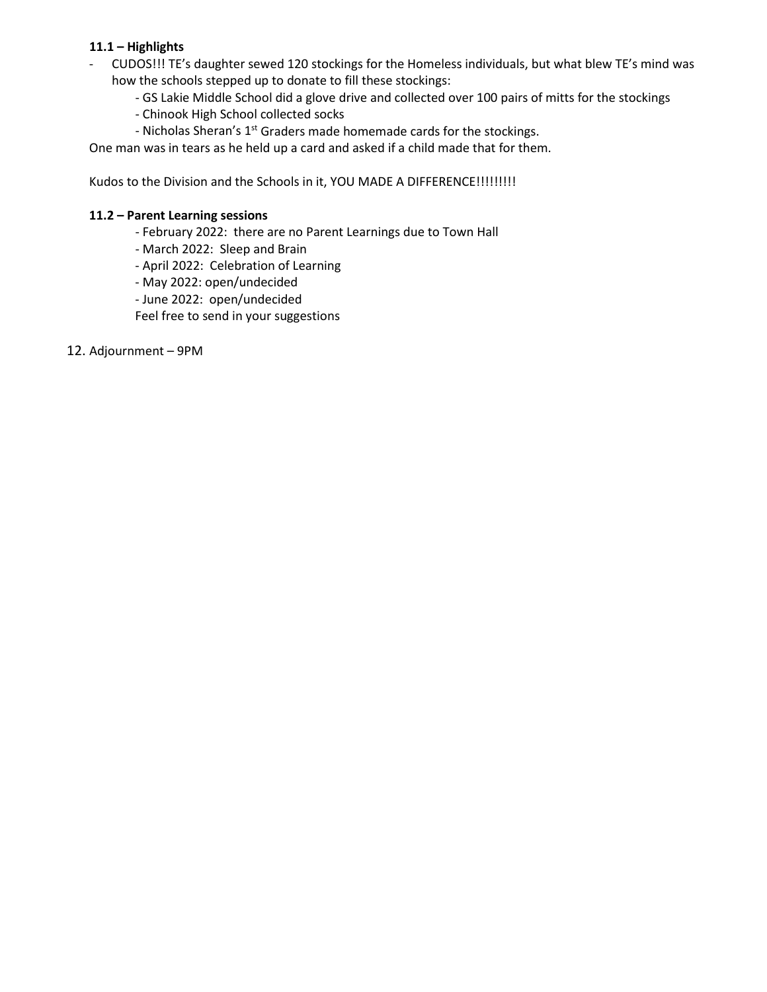# **11.1 – Highlights**

- CUDOS!!! TE's daughter sewed 120 stockings for the Homeless individuals, but what blew TE's mind was how the schools stepped up to donate to fill these stockings:
	- GS Lakie Middle School did a glove drive and collected over 100 pairs of mitts for the stockings
	- Chinook High School collected socks
	- Nicholas Sheran's 1<sup>st</sup> Graders made homemade cards for the stockings.

One man was in tears as he held up a card and asked if a child made that for them.

Kudos to the Division and the Schools in it, YOU MADE A DIFFERENCE!!!!!!!!!!

#### **11.2 – Parent Learning sessions**

- February 2022: there are no Parent Learnings due to Town Hall
- March 2022: Sleep and Brain
- April 2022: Celebration of Learning
- May 2022: open/undecided
- June 2022: open/undecided

Feel free to send in your suggestions

12. Adjournment – 9PM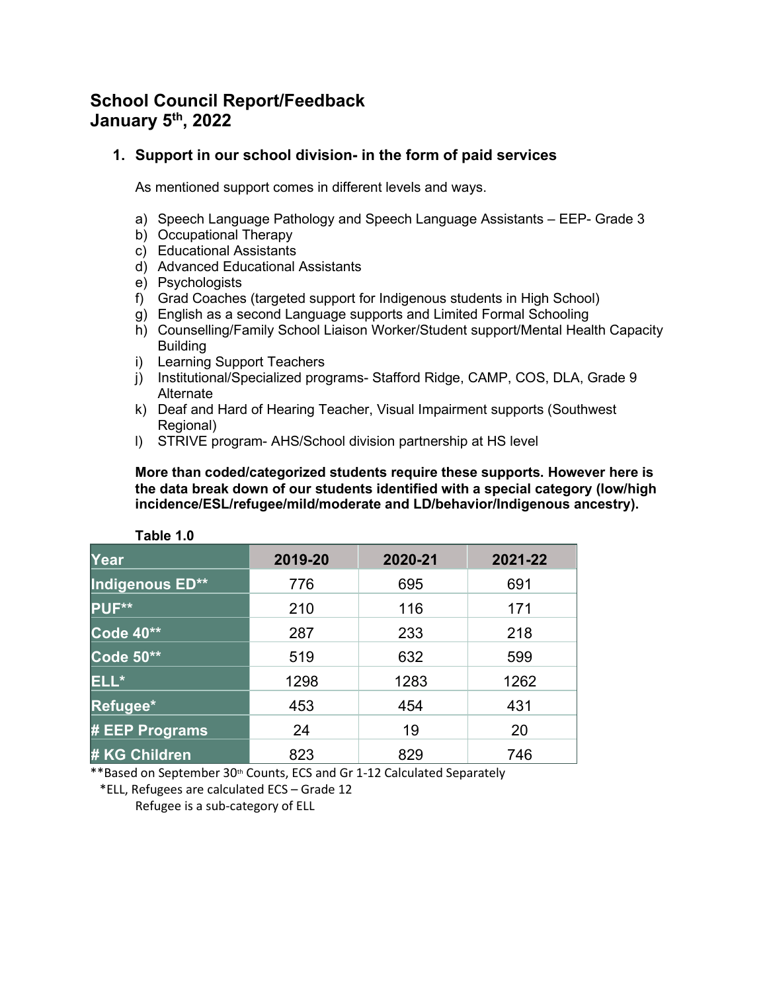# **School Council Report/Feedback January 5th, 2022**

# **1. Support in our school division- in the form of paid services**

As mentioned support comes in different levels and ways.

- a) Speech Language Pathology and Speech Language Assistants EEP- Grade 3
- b) Occupational Therapy
- c) Educational Assistants
- d) Advanced Educational Assistants
- e) Psychologists
- f) Grad Coaches (targeted support for Indigenous students in High School)
- g) English as a second Language supports and Limited Formal Schooling
- h) Counselling/Family School Liaison Worker/Student support/Mental Health Capacity **Building**
- i) Learning Support Teachers
- j) Institutional/Specialized programs- Stafford Ridge, CAMP, COS, DLA, Grade 9 Alternate
- k) Deaf and Hard of Hearing Teacher, Visual Impairment supports (Southwest Regional)
- l) STRIVE program- AHS/School division partnership at HS level

**More than coded/categorized students require these supports. However here is the data break down of our students identified with a special category (low/high incidence/ESL/refugee/mild/moderate and LD/behavior/Indigenous ancestry).**

| LADIE I.U            |         |         |         |
|----------------------|---------|---------|---------|
| Year                 | 2019-20 | 2020-21 | 2021-22 |
| Indigenous ED**      | 776     | 695     | 691     |
| PUF**                | 210     | 116     | 171     |
| Code 40**            | 287     | 233     | 218     |
| Code 50**            | 519     | 632     | 599     |
| ELL*                 | 1298    | 1283    | 1262    |
| Refugee*             | 453     | 454     | 431     |
| # EEP Programs       | 24      | 19      | 20      |
| <b># KG Children</b> | 823     | 829     | 746     |

**Table 1.0**

\*\*Based on September 30<sup>th</sup> Counts, ECS and Gr 1-12 Calculated Separately

 \*ELL, Refugees are calculated ECS – Grade 12 Refugee is a sub-category of ELL